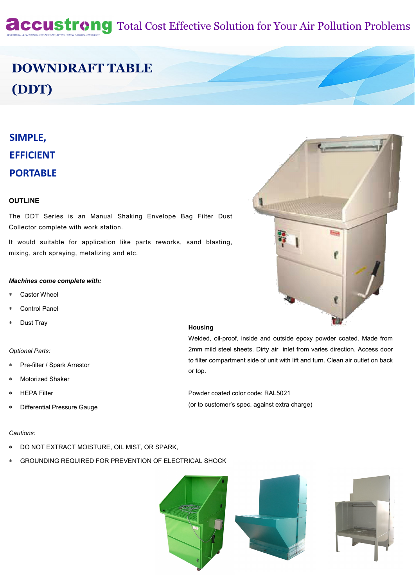# **Accustrong** Total Cost Effective Solution for Your Air Pollution Problems

# **DOWNDRAFT TABLE (DDT)**

# **SIMPLE, EFFICIENT PORTABLE**

#### **OUTLINE**

The DDT Series is an Manual Shaking Envelope Bag Filter Dust Collector complete with work station.

It would suitable for application like parts reworks, sand blasting, mixing, arch spraying, metalizing and etc.

#### *Machines come complete with:*

- Castor Wheel
- Control Panel
- Dust Tray

#### *Optional Parts:*

- Pre-filter / Spark Arrestor
- Motorized Shaker
- HEPA Filter
- Differential Pressure Gauge

### **Housing**

Welded, oil-proof, inside and outside epoxy powder coated. Made from 2mm mild steel sheets. Dirty air inlet from varies direction. Access door to filter compartment side of unit with lift and turn. Clean air outlet on back or top.

Powder coated color code: RAL5021 (or to customer's spec. against extra charge)

#### *Cautions:*

- DO NOT EXTRACT MOISTURE, OIL MIST, OR SPARK,
- GROUNDING REQUIRED FOR PREVENTION OF ELECTRICAL SHOCK